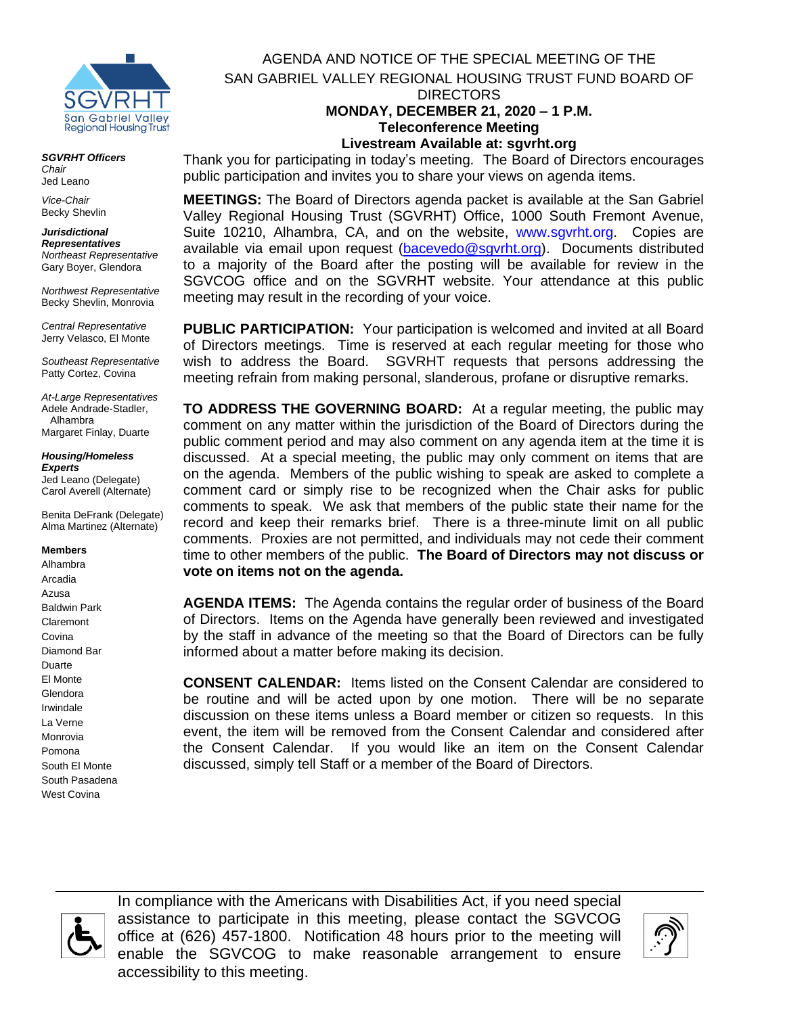

*SGVRHT Officers Chair* Jed Leano

*Vice-Chair* Becky Shevlin

## *Jurisdictional Representatives*

*Northeast Representative* Gary Boyer, Glendora

*Northwest Representative* Becky Shevlin, Monrovia

*Central Representative* Jerry Velasco, El Monte

*Southeast Representative* Patty Cortez, Covina

*At-Large Representatives* Adele Andrade-Stadler, Alhambra Margaret Finlay, Duarte

#### *Housing/Homeless Experts*

Jed Leano (Delegate) Carol Averell (Alternate)

Benita DeFrank (Delegate) Alma Martinez (Alternate)

#### **Members**

Alhambra Arcadia Azusa Baldwin Park Claremont Covina Diamond Bar Duarte El Monte Glendora Irwindale La Verne Monrovia Pomona South El Monte South Pasadena West Covina

AGENDA AND NOTICE OF THE SPECIAL MEETING OF THE SAN GABRIEL VALLEY REGIONAL HOUSING TRUST FUND BOARD OF DIRECTORS **MONDAY, DECEMBER 21, 2020 – 1 P.M. Teleconference Meeting**

**Livestream Available at: sgvrht.org**

Thank you for participating in today's meeting. The Board of Directors encourages public participation and invites you to share your views on agenda items.

**MEETINGS:** The Board of Directors agenda packet is available at the San Gabriel Valley Regional Housing Trust (SGVRHT) Office, 1000 South Fremont Avenue, Suite 10210, Alhambra, CA, and on the website, [www.sgvrht.org.](http://www.sgvrht.org/) Copies are available via email upon request [\(bacevedo@sgvrht.org\)](mailto:bacevedo@sgvrht.org). Documents distributed to a majority of the Board after the posting will be available for review in the SGVCOG office and on the SGVRHT website. Your attendance at this public meeting may result in the recording of your voice.

**PUBLIC PARTICIPATION:** Your participation is welcomed and invited at all Board of Directors meetings. Time is reserved at each regular meeting for those who wish to address the Board. SGVRHT requests that persons addressing the meeting refrain from making personal, slanderous, profane or disruptive remarks.

**TO ADDRESS THE GOVERNING BOARD:** At a regular meeting, the public may comment on any matter within the jurisdiction of the Board of Directors during the public comment period and may also comment on any agenda item at the time it is discussed. At a special meeting, the public may only comment on items that are on the agenda. Members of the public wishing to speak are asked to complete a comment card or simply rise to be recognized when the Chair asks for public comments to speak. We ask that members of the public state their name for the record and keep their remarks brief. There is a three-minute limit on all public comments.Proxies are not permitted, and individuals may not cede their comment time to other members of the public. **The Board of Directors may not discuss or vote on items not on the agenda.**

**AGENDA ITEMS:** The Agenda contains the regular order of business of the Board of Directors. Items on the Agenda have generally been reviewed and investigated by the staff in advance of the meeting so that the Board of Directors can be fully informed about a matter before making its decision.

**CONSENT CALENDAR:** Items listed on the Consent Calendar are considered to be routine and will be acted upon by one motion. There will be no separate discussion on these items unless a Board member or citizen so requests. In this event, the item will be removed from the Consent Calendar and considered after the Consent Calendar. If you would like an item on the Consent Calendar discussed, simply tell Staff or a member of the Board of Directors.



In compliance with the Americans with Disabilities Act, if you need special assistance to participate in this meeting, please contact the SGVCOG office at (626) 457-1800. Notification 48 hours prior to the meeting will enable the SGVCOG to make reasonable arrangement to ensure accessibility to this meeting.

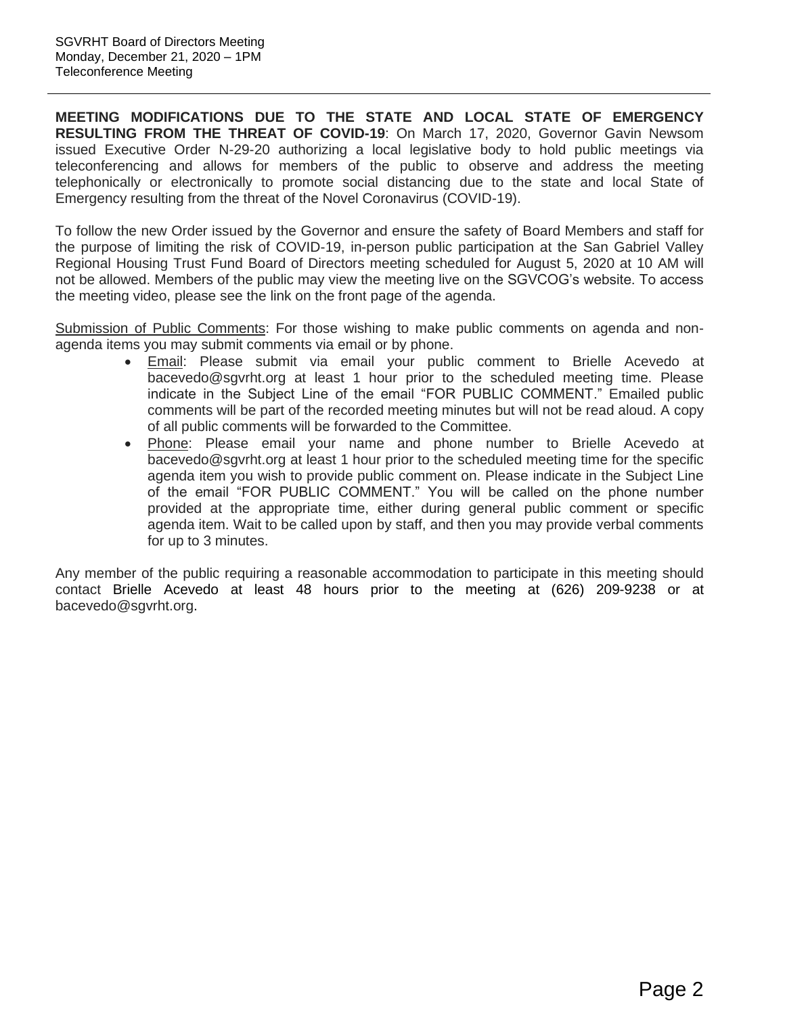**MEETING MODIFICATIONS DUE TO THE STATE AND LOCAL STATE OF EMERGENCY RESULTING FROM THE THREAT OF COVID-19**: On March 17, 2020, Governor Gavin Newsom issued Executive Order N-29-20 authorizing a local legislative body to hold public meetings via teleconferencing and allows for members of the public to observe and address the meeting telephonically or electronically to promote social distancing due to the state and local State of Emergency resulting from the threat of the Novel Coronavirus (COVID-19).

To follow the new Order issued by the Governor and ensure the safety of Board Members and staff for the purpose of limiting the risk of COVID-19, in-person public participation at the San Gabriel Valley Regional Housing Trust Fund Board of Directors meeting scheduled for August 5, 2020 at 10 AM will not be allowed. Members of the public may view the meeting live on the SGVCOG's website. To access the meeting video, please see the link on the front page of the agenda.

Submission of Public Comments: For those wishing to make public comments on agenda and nonagenda items you may submit comments via email or by phone.

- Email: Please submit via email your public comment to Brielle Acevedo at bacevedo@sgvrht.org at least 1 hour prior to the scheduled meeting time. Please indicate in the Subject Line of the email "FOR PUBLIC COMMENT." Emailed public comments will be part of the recorded meeting minutes but will not be read aloud. A copy of all public comments will be forwarded to the Committee.
- Phone: Please email your name and phone number to Brielle Acevedo at bacevedo@sgvrht.org at least 1 hour prior to the scheduled meeting time for the specific agenda item you wish to provide public comment on. Please indicate in the Subject Line of the email "FOR PUBLIC COMMENT." You will be called on the phone number provided at the appropriate time, either during general public comment or specific agenda item. Wait to be called upon by staff, and then you may provide verbal comments for up to 3 minutes.

Any member of the public requiring a reasonable accommodation to participate in this meeting should contact Brielle Acevedo at least 48 hours prior to the meeting at (626) 209-9238 or at bacevedo@sgvrht.org.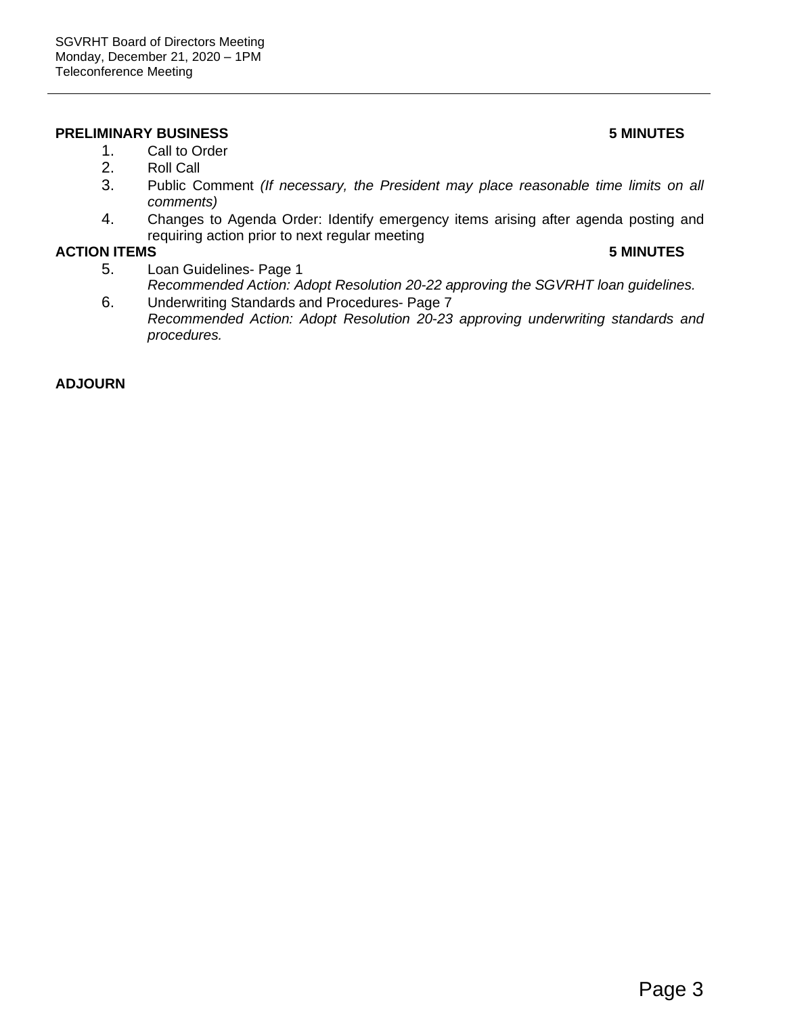#### **PRELIMINARY BUSINESS 5 MINUTES**

- 1. Call to Order
- 2. Roll Call
- 3. Public Comment *(If necessary, the President may place reasonable time limits on all comments)*
- 4. Changes to Agenda Order: Identify emergency items arising after agenda posting and requiring action prior to next regular meeting

#### **ACTION ITEMS 5 MINUTES**

- 5. Loan Guidelines- Page 1 *Recommended Action: Adopt Resolution 20-22 approving the SGVRHT loan guidelines.*
- 6. Underwriting Standards and Procedures- Page 7 *Recommended Action: Adopt Resolution 20-23 approving underwriting standards and procedures.*

#### **ADJOURN**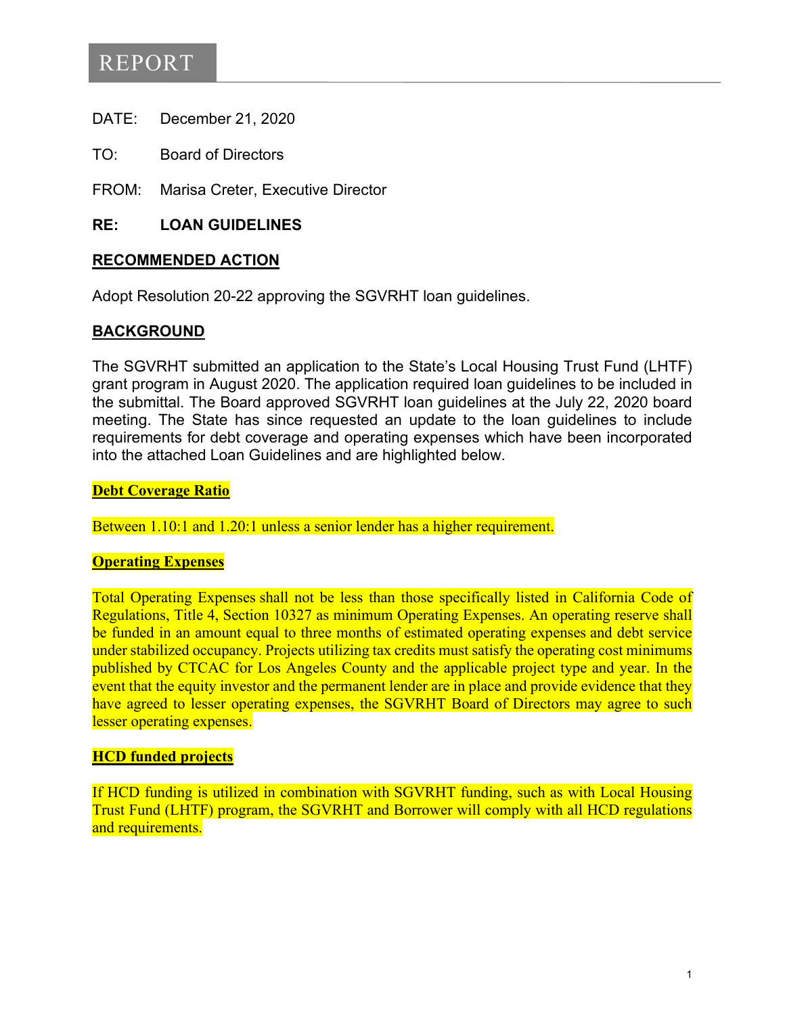# REPORT

- DATE: December 21, 2020
- TO: Board of Directors
- FROM: Marisa Creter, Executive Director

#### **RE: LOAN GUIDELINES**

#### **RECOMMENDED ACTION**

Adopt Resolution 20-22 approving the SGVRHT loan guidelines.

#### **BACKGROUND**

The SGVRHT submitted an application to the State's Local Housing Trust Fund (LHTF) grant program in August 2020. The application required loan guidelines to be included in the submittal. The Board approved SGVRHT loan guidelines at the July 22, 2020 board meeting. The State has since requested an update to the loan guidelines to include requirements for debt coverage and operating expenses which have been incorporated into the attached Loan Guidelines and are highlighted below.

#### **Debt Coverage Ratio**

Between 1.10:1 and 1.20:1 unless a senior lender has a higher requirement.

#### **Operating Expenses**

Total [Operating Expenses](https://www.hcd.ca.gov/grants-funding/already-have-funding/uniform-multifamily-regulations/docs/uniform-multifamily-regulations-2017.pdf) shall not be less than those specifically listed in California Code of Regulations, Title 4, Section 10327 as minimum Operating Expenses. An operating reserve shall be funded in an amount equal to three months of estimated operating expenses and debt service under stabilized occupancy. Projects utilizing tax credits must satisfy the operating cost minimums published by CTCAC for Los Angeles County and the applicable project type and year. In the event that the equity investor and the permanent lender are in place and provide evidence that they have agreed to lesser operating expenses, the SGVRHT Board of Directors may agree to such lesser operating expenses.

#### **HCD funded projects**

If HCD funding is utilized in combination with SGVRHT funding, such as with Local Housing Trust Fund (LHTF) program, the SGVRHT and Borrower will comply with all HCD regulations and requirements.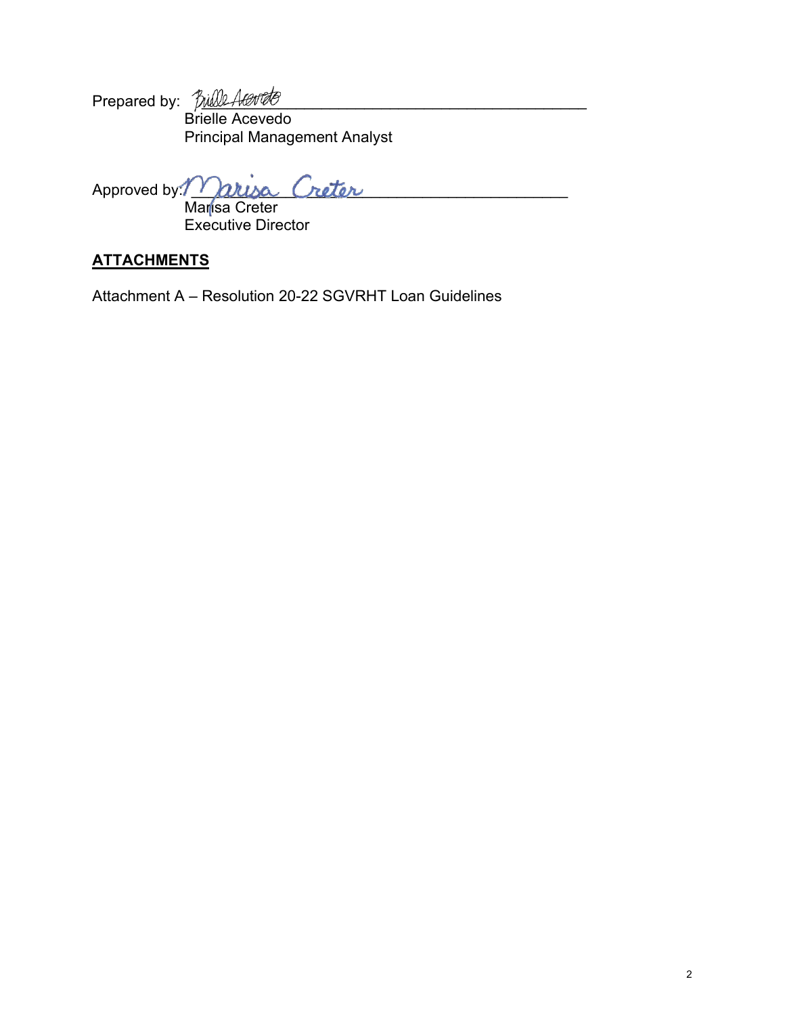Prepared by: \_\_\_\_\_\_\_\_\_\_\_\_\_\_\_\_\_\_\_\_\_\_\_\_\_\_\_\_\_\_\_\_\_\_\_\_\_\_\_\_\_\_\_\_\_ Brielle Acevedo Principal Management Analyst

Approved by: Marya Creter

 Marisa Creter Executive Director

## **ATTACHMENTS**

Attachment A – Resolution 20-22 SGVRHT Loan Guidelines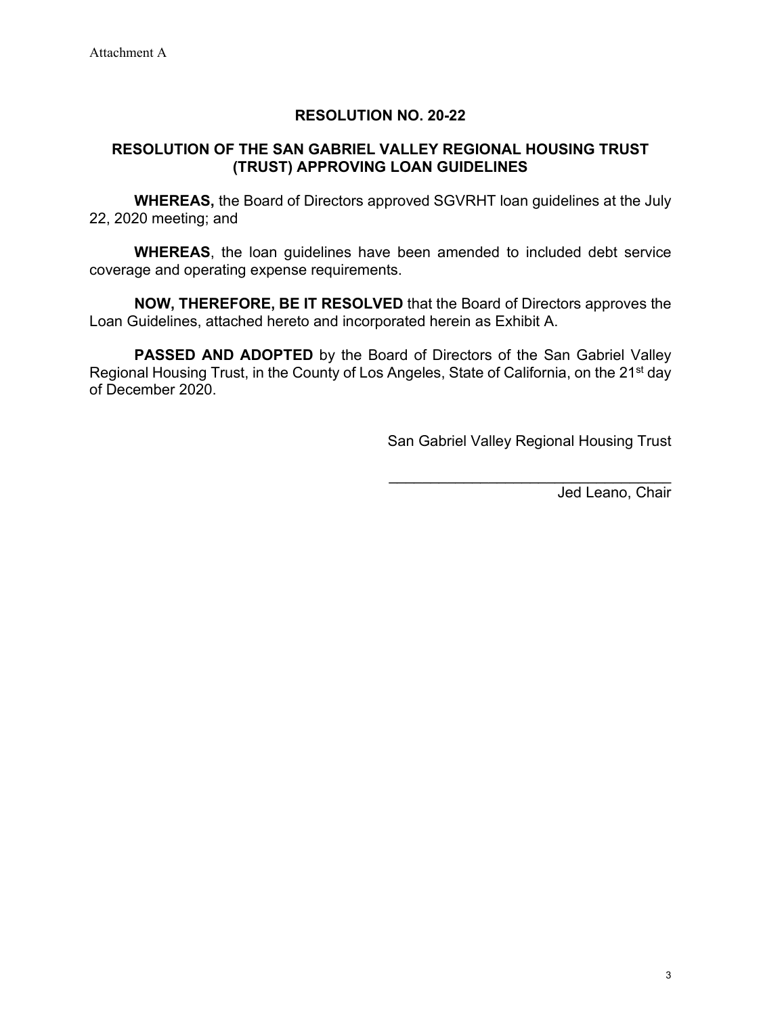## **RESOLUTION NO. 20-22**

## **RESOLUTION OF THE SAN GABRIEL VALLEY REGIONAL HOUSING TRUST (TRUST) APPROVING LOAN GUIDELINES**

**WHEREAS,** the Board of Directors approved SGVRHT loan guidelines at the July 22, 2020 meeting; and

**WHEREAS**, the loan guidelines have been amended to included debt service coverage and operating expense requirements.

**NOW, THEREFORE, BE IT RESOLVED** that the Board of Directors approves the Loan Guidelines, attached hereto and incorporated herein as Exhibit A.

**PASSED AND ADOPTED** by the Board of Directors of the San Gabriel Valley Regional Housing Trust, in the County of Los Angeles, State of California, on the 21<sup>st</sup> day of December 2020.

San Gabriel Valley Regional Housing Trust

\_\_\_\_\_\_\_\_\_\_\_\_\_\_\_\_\_\_\_\_\_\_\_\_\_\_\_\_\_\_\_\_\_\_

Jed Leano, Chair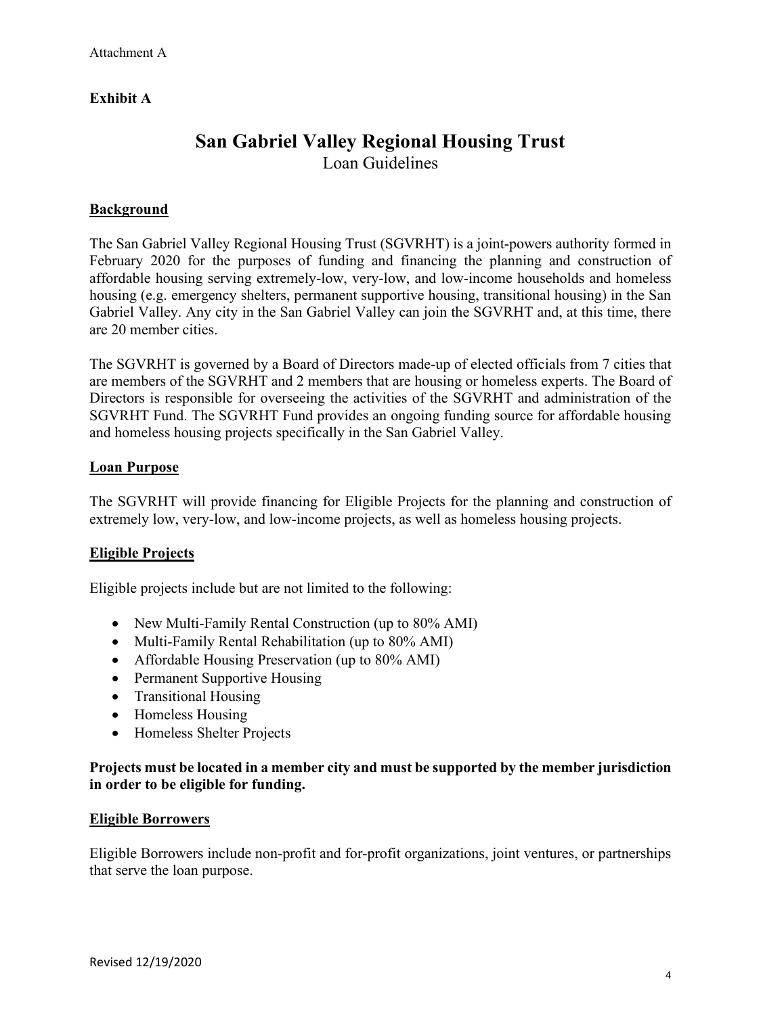#### **Exhibit A**

## **San Gabriel Valley Regional Housing Trust**

Loan Guidelines

#### **Background**

The San Gabriel Valley Regional Housing Trust (SGVRHT) is a joint-powers authority formed in February 2020 for the purposes of funding and financing the planning and construction of affordable housing serving extremely-low, very-low, and low-income households and homeless housing (e.g. emergency shelters, permanent supportive housing, transitional housing) in the San Gabriel Valley. Any city in the San Gabriel Valley can join the SGVRHT and, at this time, there are 20 member cities.

The SGVRHT is governed by a Board of Directors made-up of elected officials from 7 cities that are members of the SGVRHT and 2 members that are housing or homeless experts. The Board of Directors is responsible for overseeing the activities of the SGVRHT and administration of the SGVRHT Fund. The SGVRHT Fund provides an ongoing funding source for affordable housing and homeless housing projects specifically in the San Gabriel Valley.

#### **Loan Purpose**

The SGVRHT will provide financing for Eligible Projects for the planning and construction of extremely low, very-low, and low-income projects, as well as homeless housing projects.

#### **Eligible Projects**

Eligible projects include but are not limited to the following:

- New Multi-Family Rental Construction (up to 80% AMI)
- Multi-Family Rental Rehabilitation (up to 80% AMI)
- Affordable Housing Preservation (up to 80% AMI)
- Permanent Supportive Housing
- Transitional Housing
- Homeless Housing
- Homeless Shelter Projects

#### **Projects must be located in a member city and must be supported by the member jurisdiction in order to be eligible for funding.**

#### **Eligible Borrowers**

Eligible Borrowers include non-profit and for-profit organizations, joint ventures, or partnerships that serve the loan purpose.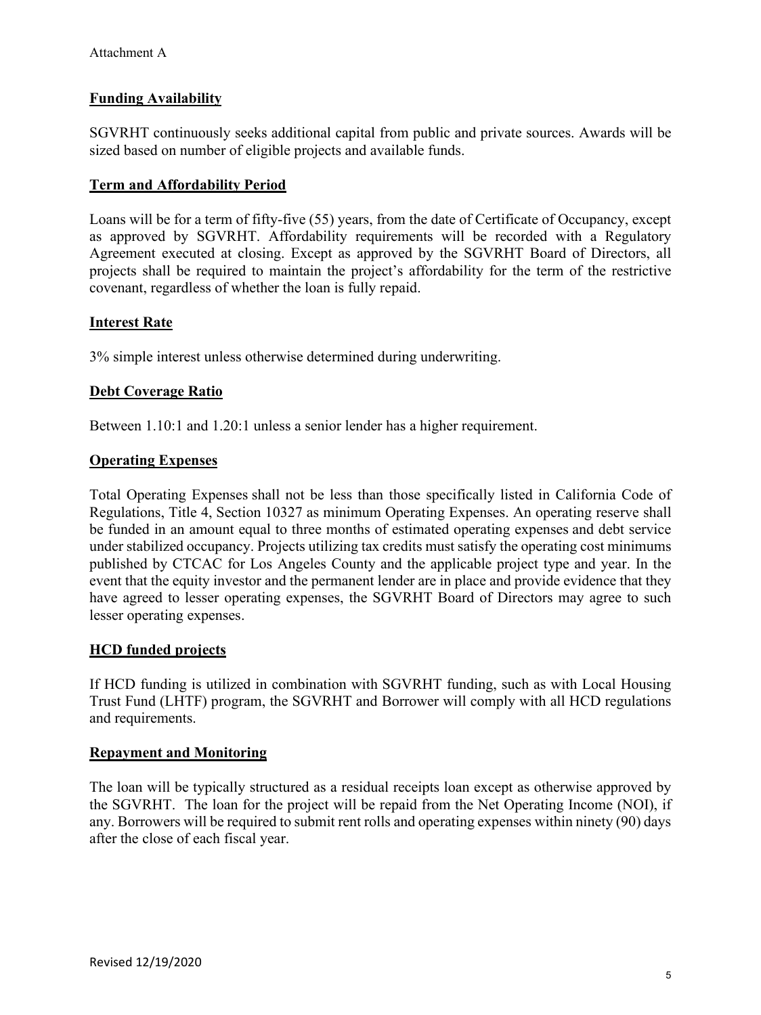#### **Funding Availability**

SGVRHT continuously seeks additional capital from public and private sources. Awards will be sized based on number of eligible projects and available funds.

#### **Term and Affordability Period**

Loans will be for a term of fifty-five (55) years, from the date of Certificate of Occupancy, except as approved by SGVRHT. Affordability requirements will be recorded with a Regulatory Agreement executed at closing. Except as approved by the SGVRHT Board of Directors, all projects shall be required to maintain the project's affordability for the term of the restrictive covenant, regardless of whether the loan is fully repaid.

#### **Interest Rate**

3% simple interest unless otherwise determined during underwriting.

#### **Debt Coverage Ratio**

Between 1.10:1 and 1.20:1 unless a senior lender has a higher requirement.

#### **Operating Expenses**

[Total Operating Expenses](https://www.hcd.ca.gov/grants-funding/already-have-funding/uniform-multifamily-regulations/docs/uniform-multifamily-regulations-2017.pdf) shall not be less than those specifically listed in California Code of Regulations, Title 4, Section 10327 as minimum Operating Expenses. An operating reserve shall be funded in an amount equal to three months of estimated operating expenses and debt service under stabilized occupancy. Projects utilizing tax credits must satisfy the operating cost minimums published by CTCAC for Los Angeles County and the applicable project type and year. In the event that the equity investor and the permanent lender are in place and provide evidence that they have agreed to lesser operating expenses, the SGVRHT Board of Directors may agree to such lesser operating expenses.

#### **HCD funded projects**

If HCD funding is utilized in combination with SGVRHT funding, such as with Local Housing Trust Fund (LHTF) program, the SGVRHT and Borrower will comply with all HCD regulations and requirements.

#### **Repayment and Monitoring**

The loan will be typically structured as a residual receipts loan except as otherwise approved by the SGVRHT. The loan for the project will be repaid from the Net Operating Income (NOI), if any. Borrowers will be required to submit rent rolls and operating expenses within ninety (90) days after the close of each fiscal year.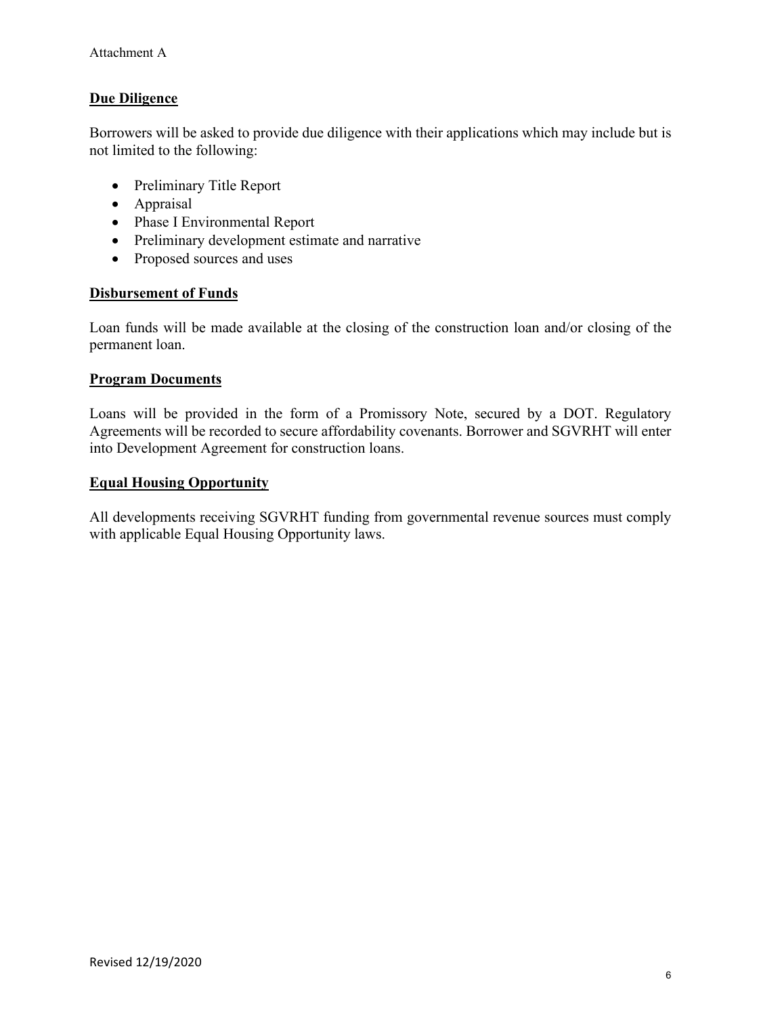#### **Due Diligence**

Borrowers will be asked to provide due diligence with their applications which may include but is not limited to the following:

- Preliminary Title Report
- Appraisal
- Phase I Environmental Report
- Preliminary development estimate and narrative
- Proposed sources and uses

#### **Disbursement of Funds**

Loan funds will be made available at the closing of the construction loan and/or closing of the permanent loan.

#### **Program Documents**

Loans will be provided in the form of a Promissory Note, secured by a DOT. Regulatory Agreements will be recorded to secure affordability covenants. Borrower and SGVRHT will enter into Development Agreement for construction loans.

#### **Equal Housing Opportunity**

All developments receiving SGVRHT funding from governmental revenue sources must comply with applicable Equal Housing Opportunity laws.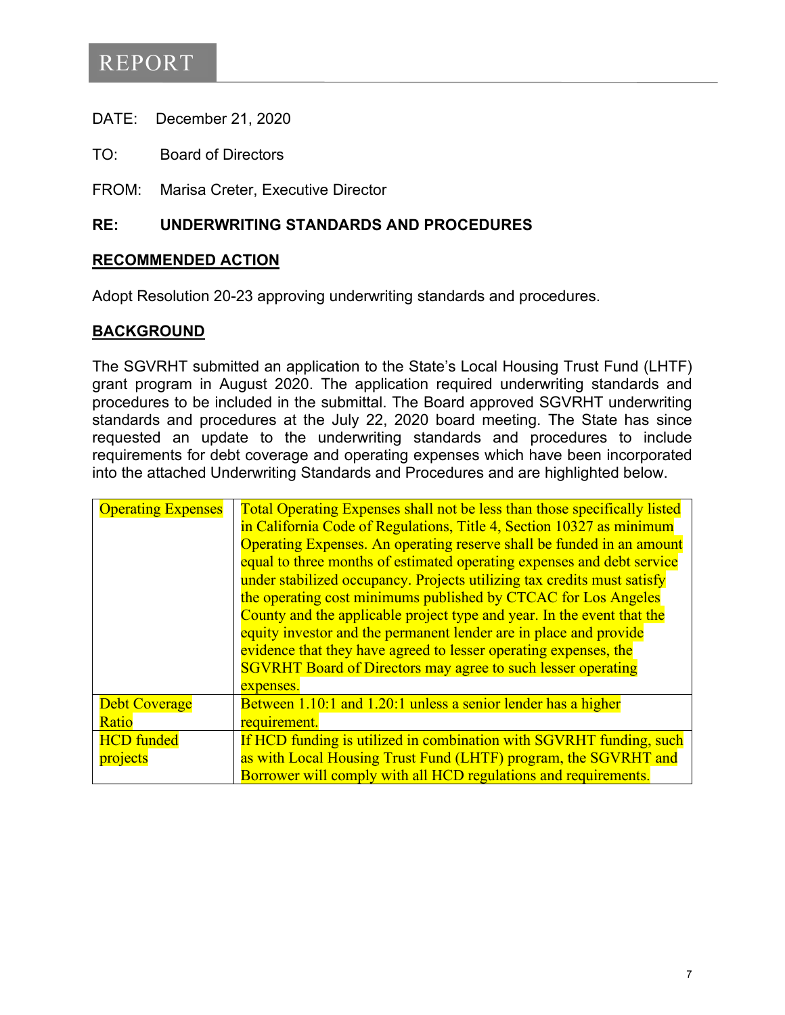# REPORT

DATE: December 21, 2020

TO: Board of Directors

FROM: Marisa Creter, Executive Director

#### **RE: UNDERWRITING STANDARDS AND PROCEDURES**

#### **RECOMMENDED ACTION**

Adopt Resolution 20-23 approving underwriting standards and procedures.

#### **BACKGROUND**

The SGVRHT submitted an application to the State's Local Housing Trust Fund (LHTF) grant program in August 2020. The application required underwriting standards and procedures to be included in the submittal. The Board approved SGVRHT underwriting standards and procedures at the July 22, 2020 board meeting. The State has since requested an update to the underwriting standards and procedures to include requirements for debt coverage and operating expenses which have been incorporated into the attached Underwriting Standards and Procedures and are highlighted below.

| <b>Operating Expenses</b> | Total Operating Expenses shall not be less than those specifically listed |
|---------------------------|---------------------------------------------------------------------------|
|                           | in California Code of Regulations, Title 4, Section 10327 as minimum      |
|                           | Operating Expenses. An operating reserve shall be funded in an amount     |
|                           | equal to three months of estimated operating expenses and debt service    |
|                           | under stabilized occupancy. Projects utilizing tax credits must satisfy   |
|                           | the operating cost minimums published by CTCAC for Los Angeles            |
|                           | County and the applicable project type and year. In the event that the    |
|                           | equity investor and the permanent lender are in place and provide         |
|                           | evidence that they have agreed to lesser operating expenses, the          |
|                           | <b>SGVRHT</b> Board of Directors may agree to such lesser operating       |
|                           | expenses.                                                                 |
| <b>Debt Coverage</b>      | Between 1.10:1 and 1.20:1 unless a senior lender has a higher             |
| Ratio                     | requirement.                                                              |
| <b>HCD</b> funded         | If HCD funding is utilized in combination with SGVRHT funding, such       |
| projects                  | as with Local Housing Trust Fund (LHTF) program, the SGVRHT and           |
|                           | Borrower will comply with all HCD regulations and requirements.           |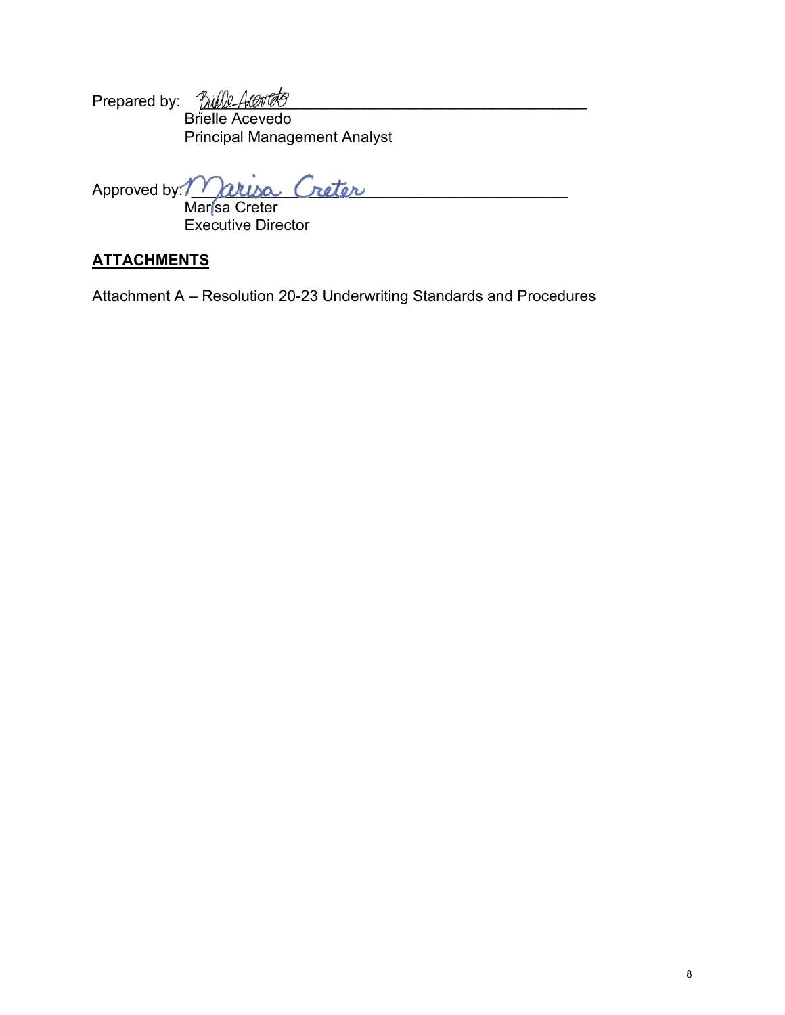Prepared by: *´[jiilll\_4t6t'06'* Brielle Acevedo Principal Management Analyst

Approved by: Marisa Creter

Marisa Creter Executive Director

## **ATTACHMENTS**

Attachment A – Resolution 20-23 Underwriting Standards and Procedures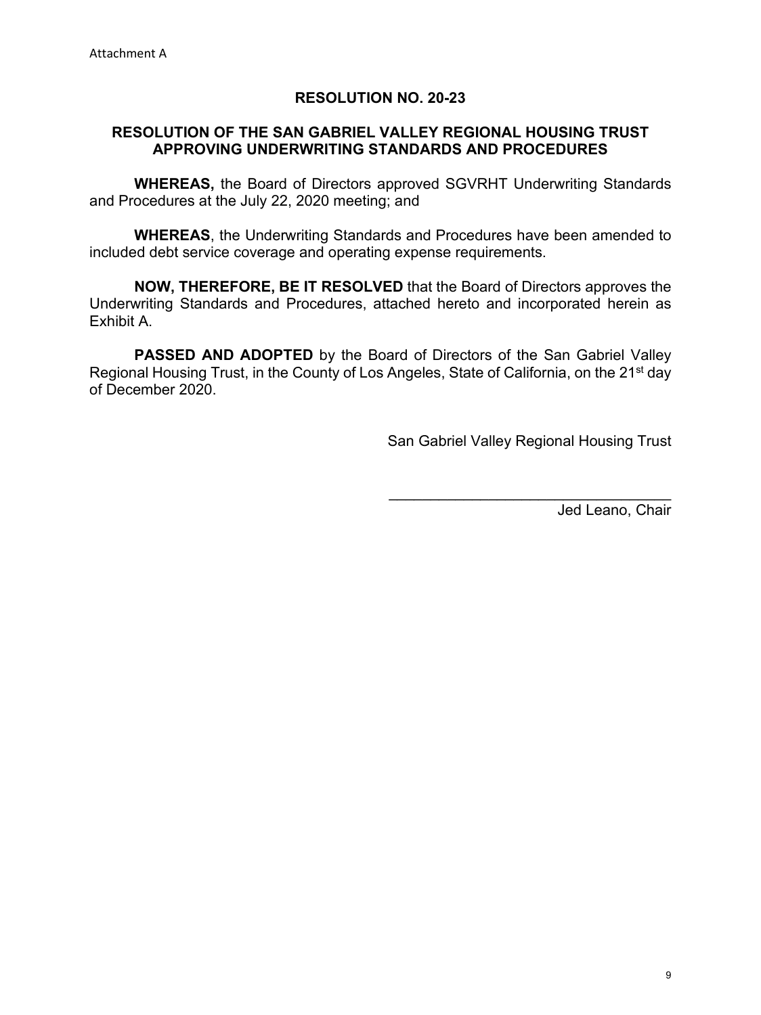#### **RESOLUTION NO. 20-23**

#### **RESOLUTION OF THE SAN GABRIEL VALLEY REGIONAL HOUSING TRUST APPROVING UNDERWRITING STANDARDS AND PROCEDURES**

**WHEREAS,** the Board of Directors approved SGVRHT Underwriting Standards and Procedures at the July 22, 2020 meeting; and

**WHEREAS**, the Underwriting Standards and Procedures have been amended to included debt service coverage and operating expense requirements.

**NOW, THEREFORE, BE IT RESOLVED** that the Board of Directors approves the Underwriting Standards and Procedures, attached hereto and incorporated herein as Exhibit A.

**PASSED AND ADOPTED** by the Board of Directors of the San Gabriel Valley Regional Housing Trust, in the County of Los Angeles, State of California, on the 21<sup>st</sup> day of December 2020.

San Gabriel Valley Regional Housing Trust

\_\_\_\_\_\_\_\_\_\_\_\_\_\_\_\_\_\_\_\_\_\_\_\_\_\_\_\_\_\_\_\_\_\_

Jed Leano, Chair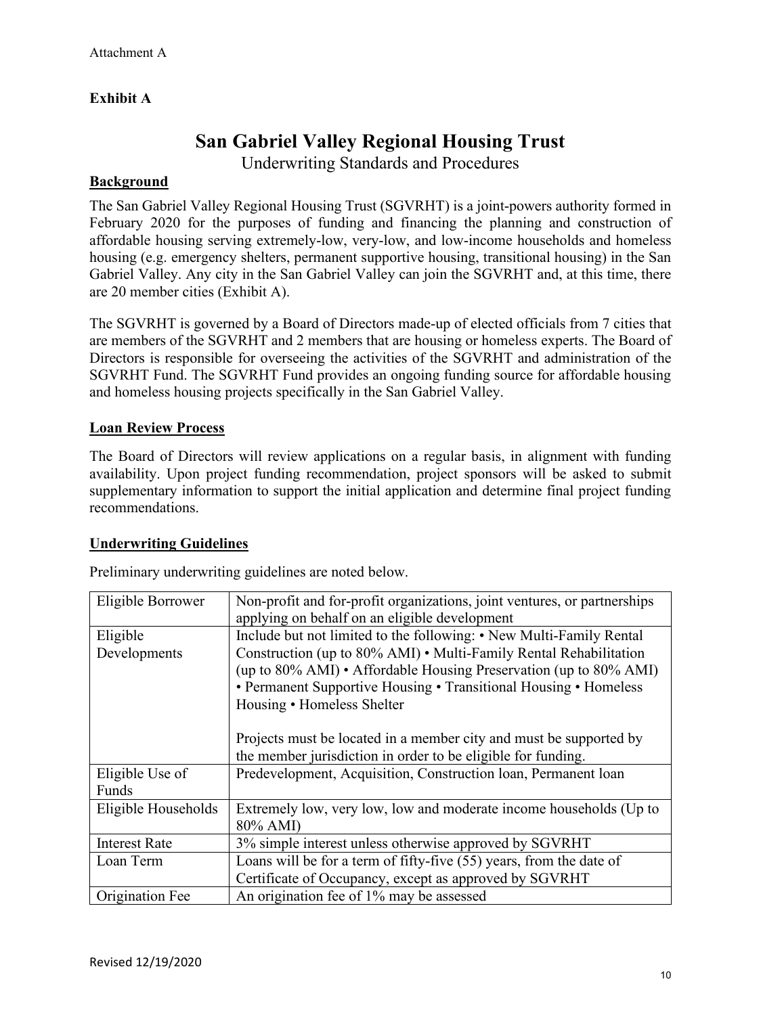## **Exhibit A**

## **San Gabriel Valley Regional Housing Trust**

Underwriting Standards and Procedures

#### **Background**

The San Gabriel Valley Regional Housing Trust (SGVRHT) is a joint-powers authority formed in February 2020 for the purposes of funding and financing the planning and construction of affordable housing serving extremely-low, very-low, and low-income households and homeless housing (e.g. emergency shelters, permanent supportive housing, transitional housing) in the San Gabriel Valley. Any city in the San Gabriel Valley can join the SGVRHT and, at this time, there are 20 member cities (Exhibit A).

The SGVRHT is governed by a Board of Directors made-up of elected officials from 7 cities that are members of the SGVRHT and 2 members that are housing or homeless experts. The Board of Directors is responsible for overseeing the activities of the SGVRHT and administration of the SGVRHT Fund. The SGVRHT Fund provides an ongoing funding source for affordable housing and homeless housing projects specifically in the San Gabriel Valley.

#### **Loan Review Process**

The Board of Directors will review applications on a regular basis, in alignment with funding availability. Upon project funding recommendation, project sponsors will be asked to submit supplementary information to support the initial application and determine final project funding recommendations.

#### **Underwriting Guidelines**

Preliminary underwriting guidelines are noted below.

| Eligible Borrower    | Non-profit and for-profit organizations, joint ventures, or partnerships |
|----------------------|--------------------------------------------------------------------------|
|                      | applying on behalf on an eligible development                            |
| Eligible             | Include but not limited to the following: • New Multi-Family Rental      |
| Developments         | Construction (up to 80% AMI) • Multi-Family Rental Rehabilitation        |
|                      | (up to 80% AMI) • Affordable Housing Preservation (up to 80% AMI)        |
|                      | • Permanent Supportive Housing • Transitional Housing • Homeless         |
|                      | Housing • Homeless Shelter                                               |
|                      |                                                                          |
|                      | Projects must be located in a member city and must be supported by       |
|                      | the member jurisdiction in order to be eligible for funding.             |
| Eligible Use of      | Predevelopment, Acquisition, Construction loan, Permanent loan           |
| Funds                |                                                                          |
| Eligible Households  | Extremely low, very low, low and moderate income households (Up to       |
|                      | 80% AMI)                                                                 |
| <b>Interest Rate</b> | 3% simple interest unless otherwise approved by SGVRHT                   |
| Loan Term            | Loans will be for a term of fifty-five (55) years, from the date of      |
|                      | Certificate of Occupancy, except as approved by SGVRHT                   |
| Origination Fee      | An origination fee of 1% may be assessed                                 |